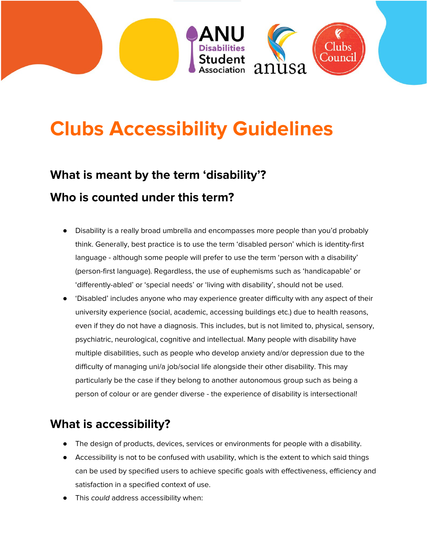

# **Clubs Accessibility Guidelines**

# **What is meant by the term 'disability'? Who is counted under this term?**

- Disability is a really broad umbrella and encompasses more people than you'd probably think. Generally, best practice is to use the term 'disabled person' which is identity-first language - although some people will prefer to use the term 'person with a disability' (person-first language). Regardless, the use of euphemisms such as 'handicapable' or 'differently-abled' or 'special needs' or 'living with disability', should not be used.
- 'Disabled' includes anyone who may experience greater difficulty with any aspect of their university experience (social, academic, accessing buildings etc.) due to health reasons, even if they do not have a diagnosis. This includes, but is not limited to, physical, sensory, psychiatric, neurological, cognitive and intellectual. Many people with disability have multiple disabilities, such as people who develop anxiety and/or depression due to the difficulty of managing uni/a job/social life alongside their other disability. This may particularly be the case if they belong to another autonomous group such as being a person of colour or are gender diverse - the experience of disability is intersectional!

#### **What is accessibility?**

- The design of products, devices, services or environments for people with a disability.
- Accessibility is not to be confused with usability, which is the extent to which said things can be used by specified users to achieve specific goals with effectiveness, efficiency and satisfaction in a specified context of use.
- This could address accessibility when: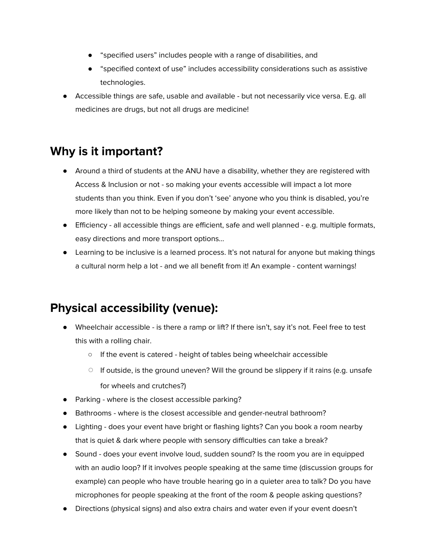- "specified users" includes people with a range of disabilities, and
- "specified context of use" includes accessibility considerations such as assistive technologies.
- Accessible things are safe, usable and available but not necessarily vice versa. E.g. all medicines are drugs, but not all drugs are medicine!

## **Why is it important?**

- Around a third of students at the ANU have a disability, whether they are registered with Access & Inclusion or not - so making your events accessible will impact a lot more students than you think. Even if you don't 'see' anyone who you think is disabled, you're more likely than not to be helping someone by making your event accessible.
- Efficiency all accessible things are efficient, safe and well planned e.g. multiple formats, easy directions and more transport options...
- Learning to be inclusive is a learned process. It's not natural for anyone but making things a cultural norm help a lot - and we all benefit from it! An example - content warnings!

## **Physical accessibility (venue):**

- Wheelchair accessible is there a ramp or lift? If there isn't, say it's not. Feel free to test this with a rolling chair.
	- If the event is catered height of tables being wheelchair accessible
	- $\circ$  If outside, is the ground uneven? Will the ground be slippery if it rains (e.g. unsafe for wheels and crutches?)
- Parking where is the closest accessible parking?
- Bathrooms where is the closest accessible and gender-neutral bathroom?
- Lighting does your event have bright or flashing lights? Can you book a room nearby that is quiet & dark where people with sensory difficulties can take a break?
- Sound does your event involve loud, sudden sound? Is the room you are in equipped with an audio loop? If it involves people speaking at the same time (discussion groups for example) can people who have trouble hearing go in a quieter area to talk? Do you have microphones for people speaking at the front of the room & people asking questions?
- Directions (physical signs) and also extra chairs and water even if your event doesn't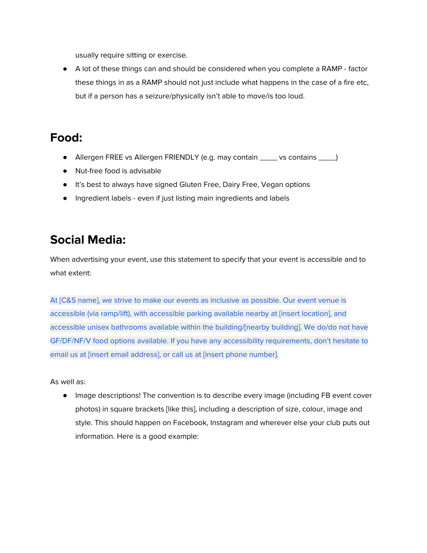usually require sitting or exercise.

● A lot of these things can and should be considered when you complete a RAMP - factor these things in as a RAMP should not just include what happens in the case of a fire etc, but if a person has a seizure/physically isn't able to move/is too loud.

#### **Food:**

- Allergen FREE vs Allergen FRIENDLY (e.g. may contain \_\_\_\_ vs contains \_\_\_\_)
- Nut-free food is advisable
- It's best to always have signed Gluten Free, Dairy Free, Vegan options
- Ingredient labels even if just listing main ingredients and labels

#### **Social Media:**

When advertising your event, use this statement to specify that your event is accessible and to what extent:

At [C&S name], we strive to make our events as inclusive as possible. Our event venue is accessible (via ramp/lift), with accessible parking available nearby at [insert location], and accessible unisex bathrooms available within the building/[nearby building]. We do/do not have GF/DF/NF/V food options available. If you have any accessibility requirements, don't hesitate to email us at [insert email address], or call us at [insert phone number].

As well as:

● Image descriptions! The convention is to describe every image (including FB event cover photos) in square brackets [like this], including a description of size, colour, image and style. This should happen on Facebook, Instagram and wherever else your club puts out information. Here is a good example: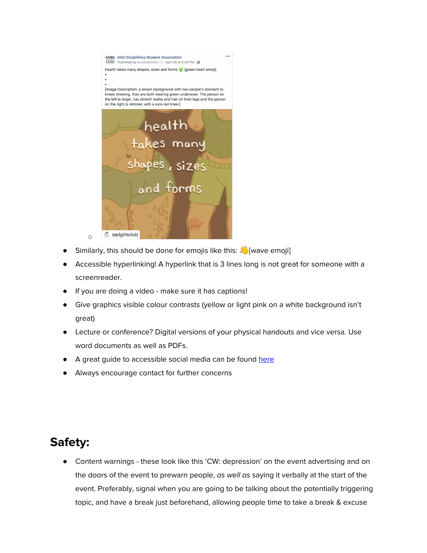

- Similarly, this should be done for emojis like this: No wave emojil
- Accessible hyperlinking! A hyperlink that is 3 lines long is not great for someone with a screenreader.
- If you are doing a video make sure it has captions!
- Give graphics visible colour contrasts (yellow or light pink on a white background isn't great)
- Lecture or conference? Digital versions of your physical handouts and vice versa. Use word documents as well as PDFs.
- A great guide to accessible social media can be found [here](https://www.and.org.au/articles.php/43/how-to-write-more-accessible-social-media-posts)
- Always encourage contact for further concerns

#### **Safety:**

Content warnings - these look like this 'CW: depression' on the event advertising and on the doors of the event to prewarn people, as well as saying it verbally at the start of the event. Preferably, signal when you are going to be talking about the potentially triggering topic, and have a break just beforehand, allowing people time to take a break & excuse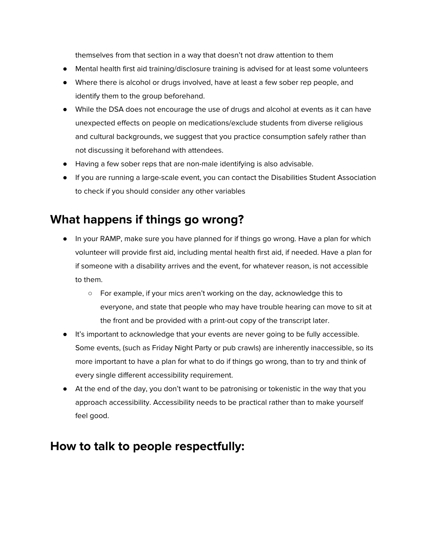themselves from that section in a way that doesn't not draw attention to them

- Mental health first aid training/disclosure training is advised for at least some volunteers
- Where there is alcohol or drugs involved, have at least a few sober rep people, and identify them to the group beforehand.
- While the DSA does not encourage the use of drugs and alcohol at events as it can have unexpected effects on people on medications/exclude students from diverse religious and cultural backgrounds, we suggest that you practice consumption safely rather than not discussing it beforehand with attendees.
- Having a few sober reps that are non-male identifying is also advisable.
- If you are running a large-scale event, you can contact the Disabilities Student Association to check if you should consider any other variables

#### **What happens if things go wrong?**

- In your RAMP, make sure you have planned for if things go wrong. Have a plan for which volunteer will provide first aid, including mental health first aid, if needed. Have a plan for if someone with a disability arrives and the event, for whatever reason, is not accessible to them.
	- For example, if your mics aren't working on the day, acknowledge this to everyone, and state that people who may have trouble hearing can move to sit at the front and be provided with a print-out copy of the transcript later.
- It's important to acknowledge that your events are never going to be fully accessible. Some events, (such as Friday Night Party or pub crawls) are inherently inaccessible, so its more important to have a plan for what to do if things go wrong, than to try and think of every single different accessibility requirement.
- At the end of the day, you don't want to be patronising or tokenistic in the way that you approach accessibility. Accessibility needs to be practical rather than to make yourself feel good.

#### **How to talk to people respectfully:**